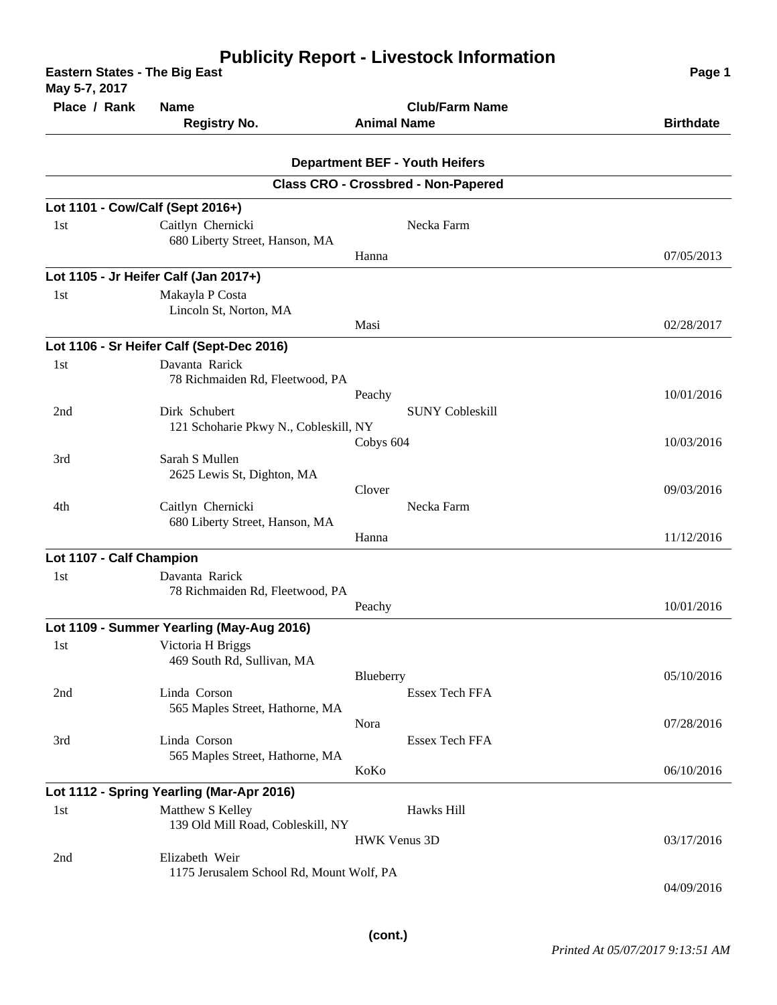| <b>Eastern States - The Big East</b><br>May 5-7, 2017 | Page 1                                          |                                                                                     |                  |
|-------------------------------------------------------|-------------------------------------------------|-------------------------------------------------------------------------------------|------------------|
| Place / Rank                                          | <b>Name</b>                                     | <b>Club/Farm Name</b>                                                               |                  |
|                                                       | <b>Registry No.</b>                             | <b>Animal Name</b>                                                                  | <b>Birthdate</b> |
|                                                       |                                                 |                                                                                     |                  |
|                                                       |                                                 | <b>Department BEF - Youth Heifers</b><br><b>Class CRO - Crossbred - Non-Papered</b> |                  |
| Lot 1101 - Cow/Calf (Sept 2016+)                      |                                                 |                                                                                     |                  |
| 1st                                                   | Caitlyn Chernicki                               | Necka Farm                                                                          |                  |
|                                                       | 680 Liberty Street, Hanson, MA                  |                                                                                     |                  |
|                                                       |                                                 | Hanna                                                                               | 07/05/2013       |
|                                                       | Lot 1105 - Jr Heifer Calf (Jan 2017+)           |                                                                                     |                  |
| 1st                                                   | Makayla P Costa<br>Lincoln St, Norton, MA       |                                                                                     |                  |
|                                                       |                                                 | Masi                                                                                | 02/28/2017       |
|                                                       | Lot 1106 - Sr Heifer Calf (Sept-Dec 2016)       |                                                                                     |                  |
| 1st                                                   | Davanta Rarick                                  |                                                                                     |                  |
|                                                       | 78 Richmaiden Rd, Fleetwood, PA                 |                                                                                     |                  |
|                                                       |                                                 | Peachy                                                                              | 10/01/2016       |
| 2nd                                                   | Dirk Schubert                                   | <b>SUNY Cobleskill</b>                                                              |                  |
|                                                       | 121 Schoharie Pkwy N., Cobleskill, NY           | Cobys 604                                                                           | 10/03/2016       |
| 3rd                                                   | Sarah S Mullen                                  |                                                                                     |                  |
|                                                       | 2625 Lewis St, Dighton, MA                      |                                                                                     |                  |
|                                                       |                                                 | Clover                                                                              | 09/03/2016       |
| 4th                                                   | Caitlyn Chernicki                               | Necka Farm                                                                          |                  |
|                                                       | 680 Liberty Street, Hanson, MA                  |                                                                                     |                  |
|                                                       |                                                 | Hanna                                                                               | 11/12/2016       |
| Lot 1107 - Calf Champion                              |                                                 |                                                                                     |                  |
| 1st                                                   | Davanta Rarick                                  |                                                                                     |                  |
|                                                       | 78 Richmaiden Rd, Fleetwood, PA                 | Peachy                                                                              | 10/01/2016       |
|                                                       | Lot 1109 - Summer Yearling (May-Aug 2016)       |                                                                                     |                  |
| 1st                                                   | Victoria H Briggs                               |                                                                                     |                  |
|                                                       | 469 South Rd, Sullivan, MA                      |                                                                                     |                  |
|                                                       |                                                 | Blueberry                                                                           | 05/10/2016       |
| 2nd                                                   | Linda Corson                                    | Essex Tech FFA                                                                      |                  |
|                                                       | 565 Maples Street, Hathorne, MA                 |                                                                                     |                  |
|                                                       |                                                 | Nora                                                                                | 07/28/2016       |
| 3rd                                                   | Linda Corson<br>565 Maples Street, Hathorne, MA | Essex Tech FFA                                                                      |                  |
|                                                       |                                                 | KoKo                                                                                | 06/10/2016       |
|                                                       | Lot 1112 - Spring Yearling (Mar-Apr 2016)       |                                                                                     |                  |
| 1st                                                   | Matthew S Kelley                                | Hawks Hill                                                                          |                  |
|                                                       | 139 Old Mill Road, Cobleskill, NY               |                                                                                     |                  |
|                                                       |                                                 | <b>HWK Venus 3D</b>                                                                 | 03/17/2016       |
| 2nd                                                   | Elizabeth Weir                                  |                                                                                     |                  |
|                                                       | 1175 Jerusalem School Rd, Mount Wolf, PA        |                                                                                     | 04/09/2016       |
|                                                       |                                                 |                                                                                     |                  |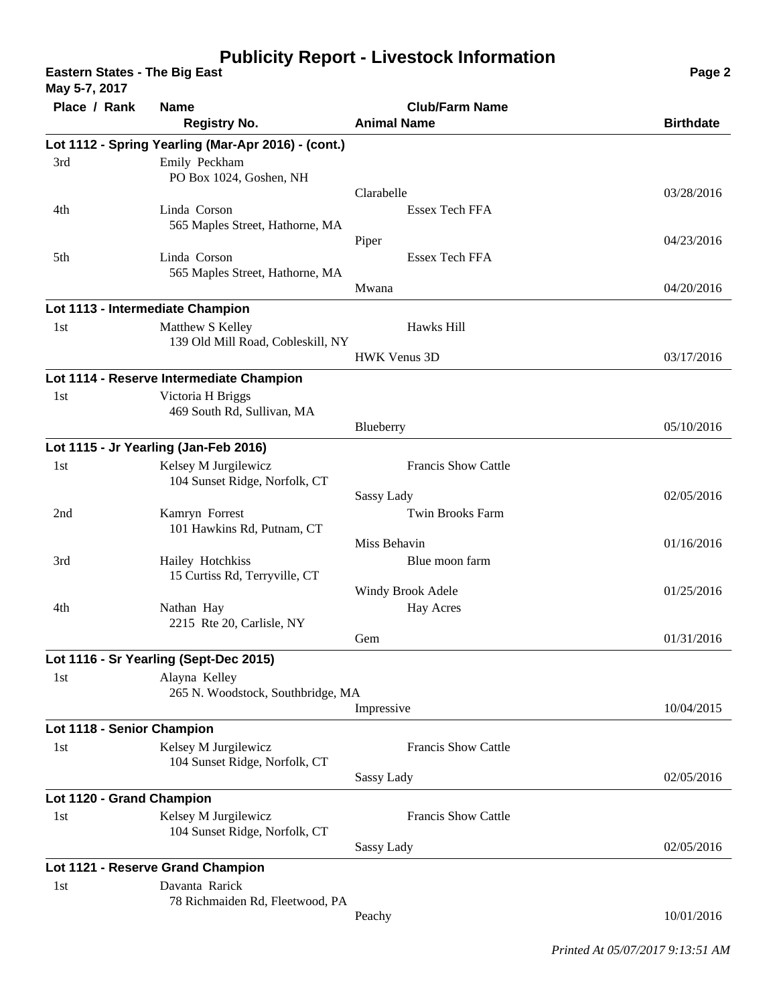## **Publicity Report - Livestock Information**

**Eastern States - The Big East Page 2 May 5-7, 2017**

| May 3-7, 2017              |                                                       |                                             |                  |
|----------------------------|-------------------------------------------------------|---------------------------------------------|------------------|
| Place / Rank               | <b>Name</b><br><b>Registry No.</b>                    | <b>Club/Farm Name</b><br><b>Animal Name</b> | <b>Birthdate</b> |
|                            |                                                       |                                             |                  |
|                            | Lot 1112 - Spring Yearling (Mar-Apr 2016) - (cont.)   |                                             |                  |
| 3rd                        | Emily Peckham<br>PO Box 1024, Goshen, NH              |                                             |                  |
|                            |                                                       | Clarabelle                                  | 03/28/2016       |
| 4th                        | Linda Corson                                          | Essex Tech FFA                              |                  |
|                            | 565 Maples Street, Hathorne, MA                       |                                             |                  |
|                            |                                                       | Piper                                       | 04/23/2016       |
| 5th                        | Linda Corson                                          | Essex Tech FFA                              |                  |
|                            | 565 Maples Street, Hathorne, MA                       | Mwana                                       | 04/20/2016       |
|                            |                                                       |                                             |                  |
|                            | Lot 1113 - Intermediate Champion                      |                                             |                  |
| 1st                        | Matthew S Kelley<br>139 Old Mill Road, Cobleskill, NY | Hawks Hill                                  |                  |
|                            |                                                       | <b>HWK Venus 3D</b>                         | 03/17/2016       |
|                            | Lot 1114 - Reserve Intermediate Champion              |                                             |                  |
| 1st                        | Victoria H Briggs                                     |                                             |                  |
|                            | 469 South Rd, Sullivan, MA                            |                                             |                  |
|                            |                                                       | Blueberry                                   | 05/10/2016       |
|                            | Lot 1115 - Jr Yearling (Jan-Feb 2016)                 |                                             |                  |
| 1st                        | Kelsey M Jurgilewicz                                  | Francis Show Cattle                         |                  |
|                            | 104 Sunset Ridge, Norfolk, CT                         |                                             |                  |
|                            |                                                       | Sassy Lady                                  | 02/05/2016       |
| 2nd                        | Kamryn Forrest                                        | <b>Twin Brooks Farm</b>                     |                  |
|                            | 101 Hawkins Rd, Putnam, CT                            | Miss Behavin                                | 01/16/2016       |
| 3rd                        | Hailey Hotchkiss                                      | Blue moon farm                              |                  |
|                            | 15 Curtiss Rd, Terryville, CT                         |                                             |                  |
|                            |                                                       | Windy Brook Adele                           | 01/25/2016       |
| 4th                        | Nathan Hay                                            | <b>Hay Acres</b>                            |                  |
|                            | 2215 Rte 20, Carlisle, NY                             | Gem                                         | 01/31/2016       |
|                            |                                                       |                                             |                  |
|                            | Lot 1116 - Sr Yearling (Sept-Dec 2015)                |                                             |                  |
| 1st                        | Alayna Kelley<br>265 N. Woodstock, Southbridge, MA    |                                             |                  |
|                            |                                                       | Impressive                                  | 10/04/2015       |
| Lot 1118 - Senior Champion |                                                       |                                             |                  |
| 1st                        | Kelsey M Jurgilewicz                                  | <b>Francis Show Cattle</b>                  |                  |
|                            | 104 Sunset Ridge, Norfolk, CT                         |                                             |                  |
|                            |                                                       | Sassy Lady                                  | 02/05/2016       |
| Lot 1120 - Grand Champion  |                                                       |                                             |                  |
| 1st                        | Kelsey M Jurgilewicz                                  | <b>Francis Show Cattle</b>                  |                  |
|                            | 104 Sunset Ridge, Norfolk, CT                         |                                             |                  |
|                            |                                                       | Sassy Lady                                  | 02/05/2016       |
|                            | Lot 1121 - Reserve Grand Champion                     |                                             |                  |
| 1st                        | Davanta Rarick                                        |                                             |                  |
|                            | 78 Richmaiden Rd, Fleetwood, PA                       | Peachy                                      | 10/01/2016       |
|                            |                                                       |                                             |                  |